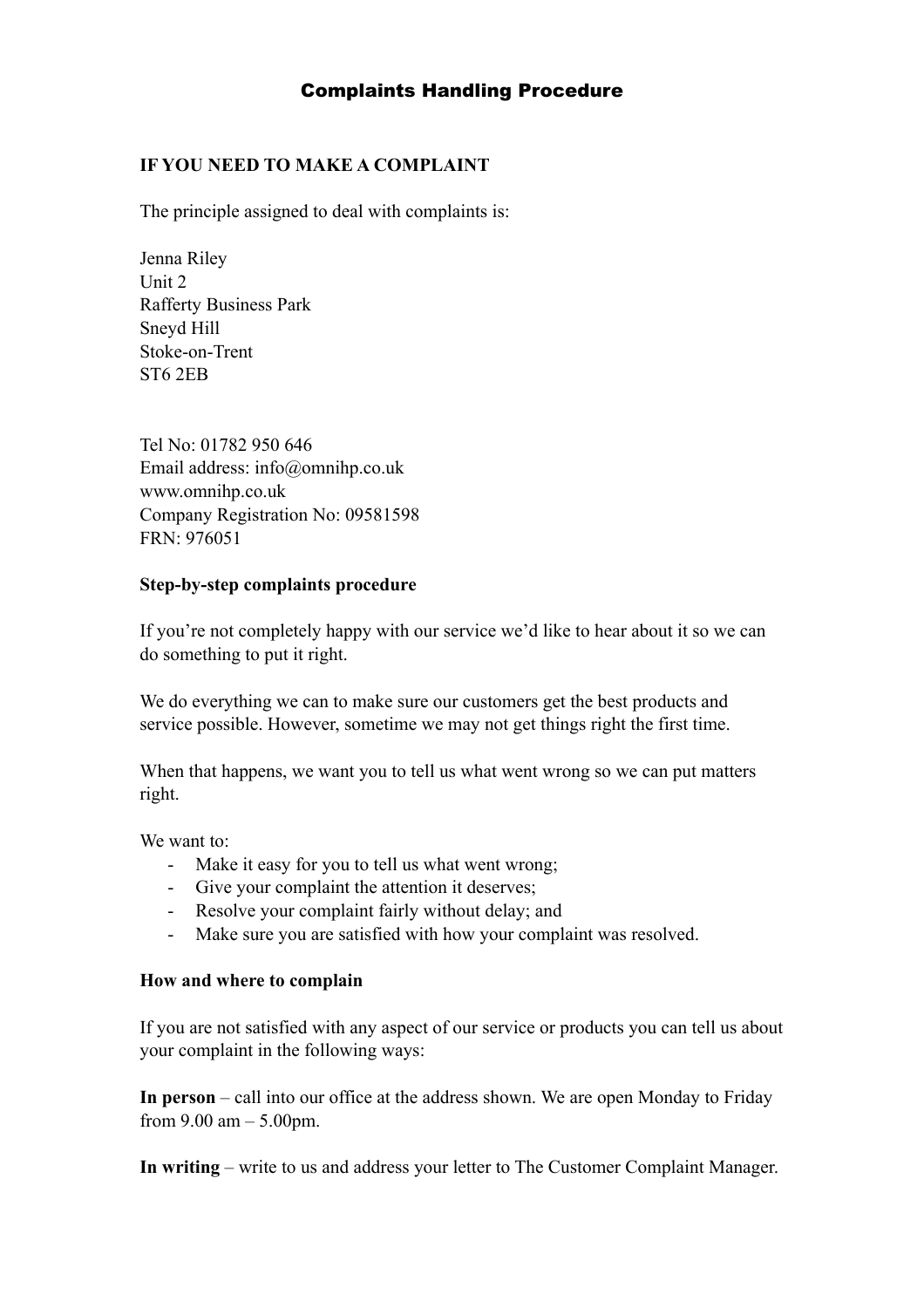## Complaints Handling Procedure

## **IF YOU NEED TO MAKE A COMPLAINT**

The principle assigned to deal with complaints is:

Jenna Riley Unit 2 Rafferty Business Park Sneyd Hill Stoke-on-Trent ST6 2EB

Tel No: 01782 950 646 Email address: info@omnihp.co.uk www.omnihp.co.uk Company Registration No: 09581598 FRN: 976051

### **Step-by-step complaints procedure**

If you're not completely happy with our service we'd like to hear about it so we can do something to put it right.

We do everything we can to make sure our customers get the best products and service possible. However, sometime we may not get things right the first time.

When that happens, we want you to tell us what went wrong so we can put matters right.

We want to:

- Make it easy for you to tell us what went wrong;
- Give your complaint the attention it deserves;
- Resolve your complaint fairly without delay; and
- Make sure you are satisfied with how your complaint was resolved.

#### **How and where to complain**

If you are not satisfied with any aspect of our service or products you can tell us about your complaint in the following ways:

**In person** – call into our office at the address shown. We are open Monday to Friday from  $9.00 \text{ am} - 5.00 \text{ pm}$ .

**In writing** – write to us and address your letter to The Customer Complaint Manager.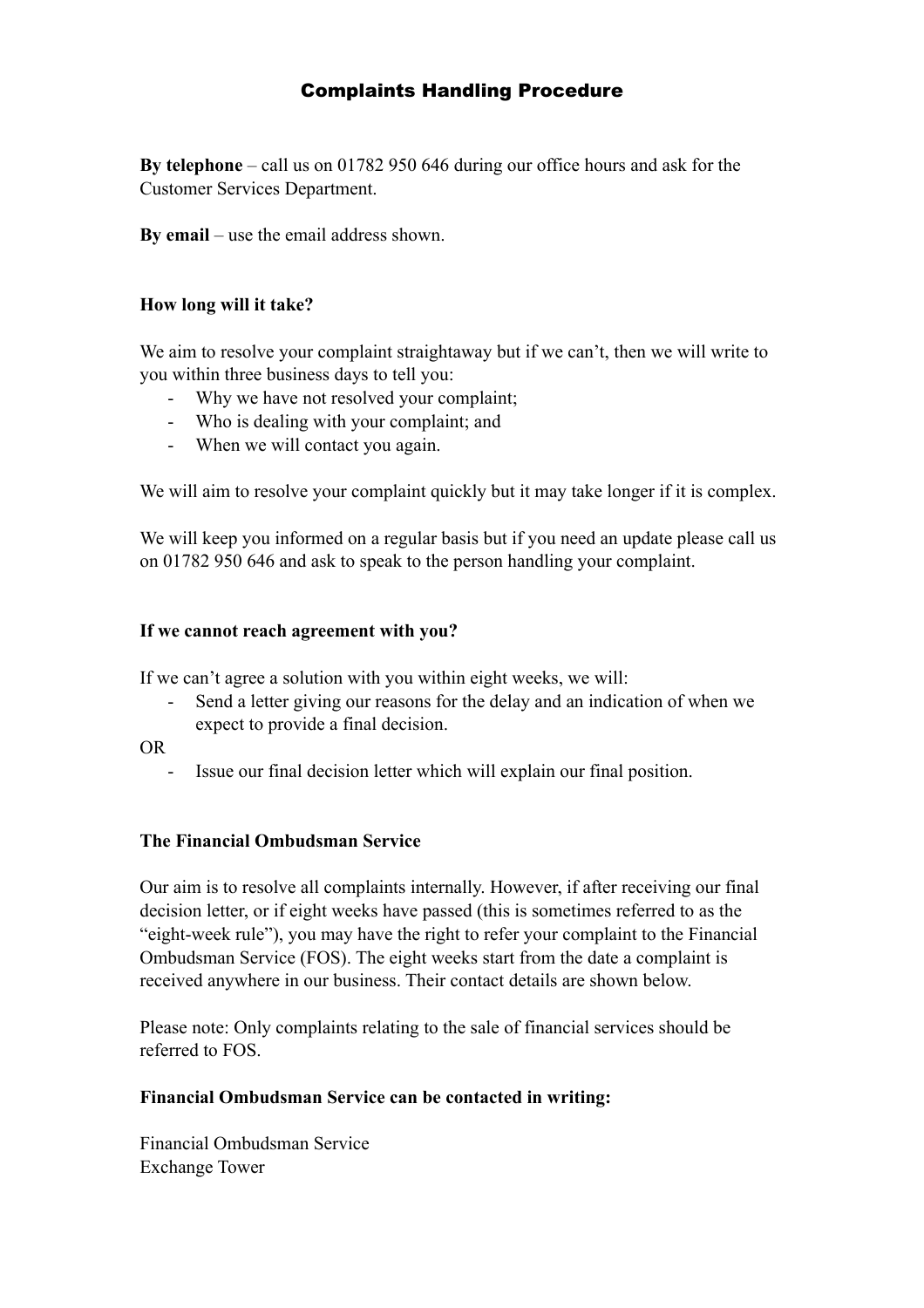# Complaints Handling Procedure

**By telephone** – call us on 01782 950 646 during our office hours and ask for the Customer Services Department.

**By email** – use the email address shown.

### **How long will it take?**

We aim to resolve your complaint straightaway but if we can't, then we will write to you within three business days to tell you:

- Why we have not resolved your complaint;
- Who is dealing with your complaint; and
- When we will contact you again.

We will aim to resolve your complaint quickly but it may take longer if it is complex.

We will keep you informed on a regular basis but if you need an update please call us on 01782 950 646 and ask to speak to the person handling your complaint.

### **If we cannot reach agreement with you?**

If we can't agree a solution with you within eight weeks, we will:

- Send a letter giving our reasons for the delay and an indication of when we expect to provide a final decision.
- OR
	- Issue our final decision letter which will explain our final position.

#### **The Financial Ombudsman Service**

Our aim is to resolve all complaints internally. However, if after receiving our final decision letter, or if eight weeks have passed (this is sometimes referred to as the "eight-week rule"), you may have the right to refer your complaint to the Financial Ombudsman Service (FOS). The eight weeks start from the date a complaint is received anywhere in our business. Their contact details are shown below.

Please note: Only complaints relating to the sale of financial services should be referred to FOS.

#### **Financial Ombudsman Service can be contacted in writing:**

Financial Ombudsman Service Exchange Tower